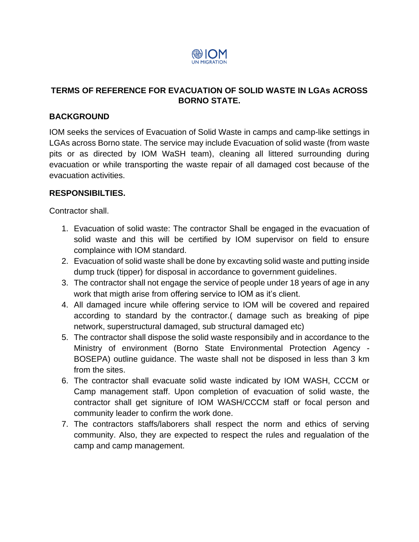

# **TERMS OF REFERENCE FOR EVACUATION OF SOLID WASTE IN LGAs ACROSS BORNO STATE.**

## **BACKGROUND**

IOM seeks the services of Evacuation of Solid Waste in camps and camp-like settings in LGAs across Borno state. The service may include Evacuation of solid waste (from waste pits or as directed by IOM WaSH team), cleaning all littered surrounding during evacuation or while transporting the waste repair of all damaged cost because of the evacuation activities.

## **RESPONSIBILTIES.**

Contractor shall.

- 1. Evacuation of solid waste: The contractor Shall be engaged in the evacuation of solid waste and this will be certified by IOM supervisor on field to ensure complaince with IOM standard.
- 2. Evacuation of solid waste shall be done by excavting solid waste and putting inside dump truck (tipper) for disposal in accordance to government guidelines.
- 3. The contractor shall not engage the service of people under 18 years of age in any work that migth arise from offering service to IOM as it's client.
- 4. All damaged incure while offering service to IOM will be covered and repaired according to standard by the contractor.( damage such as breaking of pipe network, superstructural damaged, sub structural damaged etc)
- 5. The contractor shall dispose the solid waste responsibily and in accordance to the Ministry of environment (Borno State Environmental Protection Agency - BOSEPA) outline guidance. The waste shall not be disposed in less than 3 km from the sites.
- 6. The contractor shall evacuate solid waste indicated by IOM WASH, CCCM or Camp management staff. Upon completion of evacuation of solid waste, the contractor shall get signiture of IOM WASH/CCCM staff or focal person and community leader to confirm the work done.
- 7. The contractors staffs/laborers shall respect the norm and ethics of serving community. Also, they are expected to respect the rules and regualation of the camp and camp management.